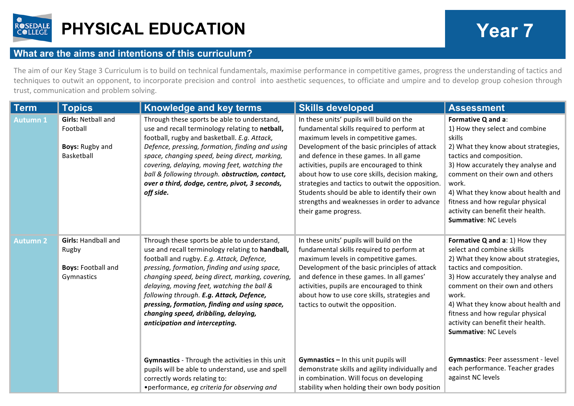

## **PHYSICAL EDUCATION Year 7**

## **What are the aims and intentions of this curriculum?**

The aim of our Key Stage 3 Curriculum is to build on technical fundamentals, maximise performance in competitive games, progress the understanding of tactics and techniques to outwit an opponent, to incorporate precision and control into aesthetic sequences, to officiate and umpire and to develop group cohesion through trust, communication and problem solving.

| Term            | <b>Topics</b>                                                                  | <b>Knowledge and key terms</b>                                                                                                                                                                                                                                                                                                                                                                                                                                         | <b>Skills developed</b>                                                                                                                                                                                                                                                                                                                                                                                                                                                                                | <b>Assessment</b>                                                                                                                                                                                                                                                                                                                                                  |
|-----------------|--------------------------------------------------------------------------------|------------------------------------------------------------------------------------------------------------------------------------------------------------------------------------------------------------------------------------------------------------------------------------------------------------------------------------------------------------------------------------------------------------------------------------------------------------------------|--------------------------------------------------------------------------------------------------------------------------------------------------------------------------------------------------------------------------------------------------------------------------------------------------------------------------------------------------------------------------------------------------------------------------------------------------------------------------------------------------------|--------------------------------------------------------------------------------------------------------------------------------------------------------------------------------------------------------------------------------------------------------------------------------------------------------------------------------------------------------------------|
| <b>Autumn 1</b> | <b>Girls: Netball and</b><br>Football<br><b>Boys: Rugby and</b><br>Basketball  | Through these sports be able to understand,<br>use and recall terminology relating to netball,<br>football, rugby and basketball. E.g. Attack,<br>Defence, pressing, formation, finding and using<br>space, changing speed, being direct, marking,<br>covering, delaying, moving feet, watching the<br>ball & following through. obstruction, contact,<br>over a third, dodge, centre, pivot, 3 seconds,<br>off side.                                                  | In these units' pupils will build on the<br>fundamental skills required to perform at<br>maximum levels in competitive games.<br>Development of the basic principles of attack<br>and defence in these games. In all game<br>activities, pupils are encouraged to think<br>about how to use core skills, decision making,<br>strategies and tactics to outwit the opposition.<br>Students should be able to identify their own<br>strengths and weaknesses in order to advance<br>their game progress. | Formative Q and a:<br>1) How they select and combine<br>skills<br>2) What they know about strategies,<br>tactics and composition.<br>3) How accurately they analyse and<br>comment on their own and others<br>work.<br>4) What they know about health and<br>fitness and how regular physical<br>activity can benefit their health.<br><b>Summative: NC Levels</b> |
| <b>Autumn 2</b> | <b>Girls: Handball and</b><br>Rugby<br><b>Boys: Football and</b><br>Gymnastics | Through these sports be able to understand,<br>use and recall terminology relating to handball,<br>football and rugby. E.g. Attack, Defence,<br>pressing, formation, finding and using space,<br>changing speed, being direct, marking, covering,<br>delaying, moving feet, watching the ball &<br>following through. E.g. Attack, Defence,<br>pressing, formation, finding and using space,<br>changing speed, dribbling, delaying,<br>anticipation and intercepting. | In these units' pupils will build on the<br>fundamental skills required to perform at<br>maximum levels in competitive games.<br>Development of the basic principles of attack<br>and defence in these games. In all games'<br>activities, pupils are encouraged to think<br>about how to use core skills, strategies and<br>tactics to outwit the opposition.                                                                                                                                         | Formative Q and a: 1) How they<br>select and combine skills<br>2) What they know about strategies,<br>tactics and composition.<br>3) How accurately they analyse and<br>comment on their own and others<br>work.<br>4) What they know about health and<br>fitness and how regular physical<br>activity can benefit their health.<br>Summative: NC Levels           |
|                 |                                                                                | Gymnastics - Through the activities in this unit<br>pupils will be able to understand, use and spell<br>correctly words relating to:<br>• performance, eg criteria for observing and                                                                                                                                                                                                                                                                                   | Gymnastics - In this unit pupils will<br>demonstrate skills and agility individually and<br>in combination. Will focus on developing<br>stability when holding their own body position                                                                                                                                                                                                                                                                                                                 | Gymnastics: Peer assessment - level<br>each performance. Teacher grades<br>against NC levels                                                                                                                                                                                                                                                                       |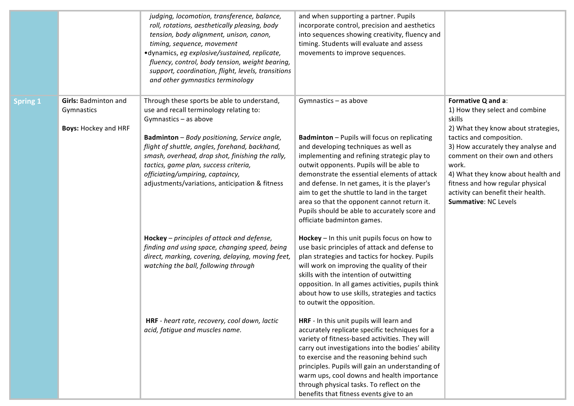|                 |                                                                          | judging, locomotion, transference, balance,<br>roll, rotations, aesthetically pleasing, body<br>tension, body alignment, unison, canon,<br>timing, sequence, movement<br>·dynamics, eg explosive/sustained, replicate,<br>fluency, control, body tension, weight bearing,<br>support, coordination, flight, levels, transitions<br>and other gymnastics terminology                                         | and when supporting a partner. Pupils<br>incorporate control, precision and aesthetics<br>into sequences showing creativity, fluency and<br>timing. Students will evaluate and assess<br>movements to improve sequences.                                                                                                                                                                                                                                                                       |                                                                                                                                                                                                                                                                                                                                                             |
|-----------------|--------------------------------------------------------------------------|-------------------------------------------------------------------------------------------------------------------------------------------------------------------------------------------------------------------------------------------------------------------------------------------------------------------------------------------------------------------------------------------------------------|------------------------------------------------------------------------------------------------------------------------------------------------------------------------------------------------------------------------------------------------------------------------------------------------------------------------------------------------------------------------------------------------------------------------------------------------------------------------------------------------|-------------------------------------------------------------------------------------------------------------------------------------------------------------------------------------------------------------------------------------------------------------------------------------------------------------------------------------------------------------|
| <b>Spring 1</b> | <b>Girls: Badminton and</b><br>Gymnastics<br><b>Boys: Hockey and HRF</b> | Through these sports be able to understand,<br>use and recall terminology relating to:<br>Gymnastics - as above<br><b>Badminton</b> - Body positioning, Service angle,<br>flight of shuttle, angles, forehand, backhand,<br>smash, overhead, drop shot, finishing the rally,<br>tactics, game plan, success criteria,<br>officiating/umpiring, captaincy,<br>adjustments/variations, anticipation & fitness | Gymnastics - as above<br><b>Badminton</b> - Pupils will focus on replicating<br>and developing techniques as well as<br>implementing and refining strategic play to<br>outwit opponents. Pupils will be able to<br>demonstrate the essential elements of attack<br>and defense. In net games, it is the player's<br>aim to get the shuttle to land in the target<br>area so that the opponent cannot return it.<br>Pupils should be able to accurately score and<br>officiate badminton games. | Formative Q and a:<br>1) How they select and combine<br>skills<br>2) What they know about strategies,<br>tactics and composition.<br>3) How accurately they analyse and<br>comment on their own and others<br>work.<br>4) What they know about health and<br>fitness and how regular physical<br>activity can benefit their health.<br>Summative: NC Levels |
|                 |                                                                          | <b>Hockey</b> – principles of attack and defense,<br>finding and using space, changing speed, being<br>direct, marking, covering, delaying, moving feet,<br>watching the ball, following through                                                                                                                                                                                                            | Hockey - In this unit pupils focus on how to<br>use basic principles of attack and defense to<br>plan strategies and tactics for hockey. Pupils<br>will work on improving the quality of their<br>skills with the intention of outwitting<br>opposition. In all games activities, pupils think<br>about how to use skills, strategies and tactics<br>to outwit the opposition.                                                                                                                 |                                                                                                                                                                                                                                                                                                                                                             |
|                 |                                                                          | HRF - heart rate, recovery, cool down, lactic<br>acid, fatique and muscles name.                                                                                                                                                                                                                                                                                                                            | HRF - In this unit pupils will learn and<br>accurately replicate specific techniques for a<br>variety of fitness-based activities. They will<br>carry out investigations into the bodies' ability<br>to exercise and the reasoning behind such<br>principles. Pupils will gain an understanding of<br>warm ups, cool downs and health importance<br>through physical tasks. To reflect on the<br>benefits that fitness events give to an                                                       |                                                                                                                                                                                                                                                                                                                                                             |